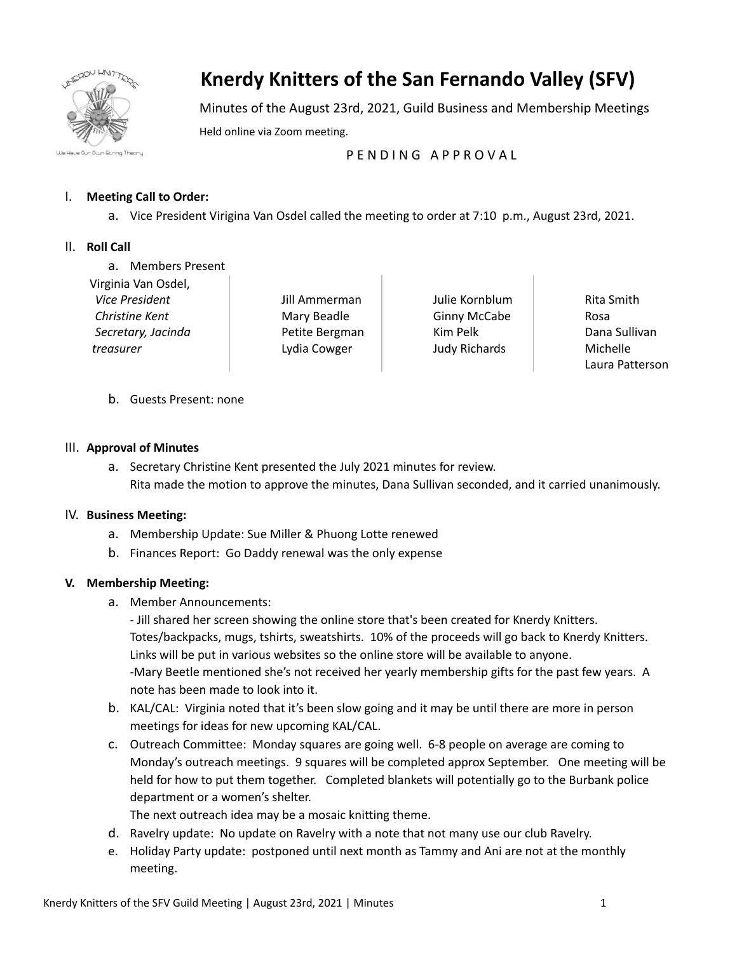

# **Knerdy Knitters of the San Fernando Valley (SFV)**

Minutes of the August 23rd, 2021, Guild Business and Membership Meetings Held online via Zoom meeting.

P F N D I N G A P P R O V A L

## I. **Meeting Call to Order:**

a. Vice President Virigina Van Osdel called the meeting to order at 7:10 p.m., August 23rd, 2021.

## II. **Roll Call**

- a. Members Present
- Virginia Van Osdel, *Vice President Christine Kent Secretary, Jacinda treasurer*

Jill Ammerman Mary Beadle Petite Bergman Lydia Cowger

Julie Kornblum Ginny McCabe Kim Pelk Judy Richards

Rita Smith Rosa Dana Sullivan Michelle Laura Patterson

b. Guests Present: none

## III. **Approval of Minutes**

a. Secretary Christine Kent presented the July 2021 minutes for review. Rita made the motion to approve the minutes, Dana Sullivan seconded, and it carried unanimously.

## IV. **Business Meeting:**

- a. Membership Update: Sue Miller & Phuong Lotte renewed
- b. Finances Report: Go Daddy renewal was the only expense

## **V. Membership Meeting:**

- a. Member Announcements:
	- Jill shared her screen showing the online store that's been created for Knerdy Knitters. Totes/backpacks, mugs, tshirts, sweatshirts. 10% of the proceeds will go back to Knerdy Knitters. Links will be put in various websites so the online store will be available to anyone. -Mary Beetle mentioned she's not received her yearly membership gifts for the past few years. A note has been made to look into it.
- b. KAL/CAL: Virginia noted that it's been slow going and it may be until there are more in person meetings for ideas for new upcoming KAL/CAL.
- c. Outreach Committee: Monday squares are going well. 6-8 people on average are coming to Monday's outreach meetings. 9 squares will be completed approx September. One meeting will be held for how to put them together. Completed blankets will potentially go to the Burbank police department or a women's shelter.

The next outreach idea may be a mosaic knitting theme.

- d. Ravelry update: No update on Ravelry with a note that not many use our club Ravelry.
- e. Holiday Party update: postponed until next month as Tammy and Ani are not at the monthly meeting.